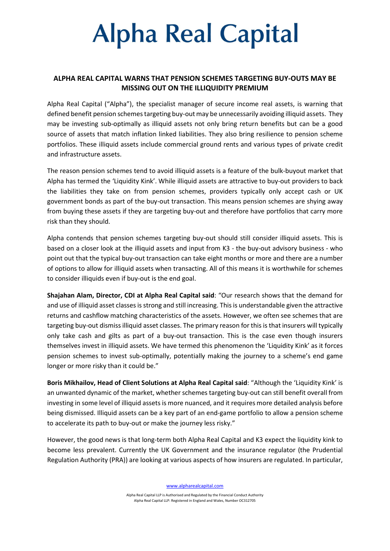# **Alpha Real Capital**

### ALPHA REAL CAPITAL WARNS THAT PENSION SCHEMES TARGETING BUY-OUTS MAY BE MISSING OUT ON THE ILLIQUIDITY PREMIUM

Alpha Real Capital ("Alpha"), the specialist manager of secure income real assets, is warning that defined benefit pension schemes targeting buy-out may be unnecessarily avoiding illiquid assets. They may be investing sub-optimally as illiquid assets not only bring return benefits but can be a good source of assets that match inflation linked liabilities. They also bring resilience to pension scheme portfolios. These illiquid assets include commercial ground rents and various types of private credit and infrastructure assets.

The reason pension schemes tend to avoid illiquid assets is a feature of the bulk-buyout market that Alpha has termed the 'Liquidity Kink'. While illiquid assets are attractive to buy-out providers to back the liabilities they take on from pension schemes, providers typically only accept cash or UK government bonds as part of the buy-out transaction. This means pension schemes are shying away from buying these assets if they are targeting buy-out and therefore have portfolios that carry more risk than they should.

Alpha contends that pension schemes targeting buy-out should still consider illiquid assets. This is based on a closer look at the illiquid assets and input from K3 - the buy-out advisory business - who point out that the typical buy-out transaction can take eight months or more and there are a number of options to allow for illiquid assets when transacting. All of this means it is worthwhile for schemes to consider illiquids even if buy-out is the end goal.

Shajahan Alam, Director, CDI at Alpha Real Capital said: "Our research shows that the demand for and use of illiquid asset classes is strong and still increasing. This is understandable given the attractive returns and cashflow matching characteristics of the assets. However, we often see schemes that are targeting buy-out dismiss illiquid asset classes. The primary reason for this is that insurers will typically only take cash and gilts as part of a buy-out transaction. This is the case even though insurers themselves invest in illiquid assets. We have termed this phenomenon the 'Liquidity Kink' as it forces pension schemes to invest sub-optimally, potentially making the journey to a scheme's end game longer or more risky than it could be."

Boris Mikhailov, Head of Client Solutions at Alpha Real Capital said: "Although the 'Liquidity Kink' is an unwanted dynamic of the market, whether schemes targeting buy-out can still benefit overall from investing in some level of illiquid assets is more nuanced, and it requires more detailed analysis before being dismissed. Illiquid assets can be a key part of an end-game portfolio to allow a pension scheme to accelerate its path to buy-out or make the journey less risky."

However, the good news is that long-term both Alpha Real Capital and K3 expect the liquidity kink to become less prevalent. Currently the UK Government and the insurance regulator (the Prudential Regulation Authority (PRA)) are looking at various aspects of how insurers are regulated. In particular,

www.alpharealcapital.com

Alpha Real Capital LLP is Authorised and Regulated by the Financial Conduct Authority Alpha Real Capital LLP: Registered in England and Wales, Number OC312705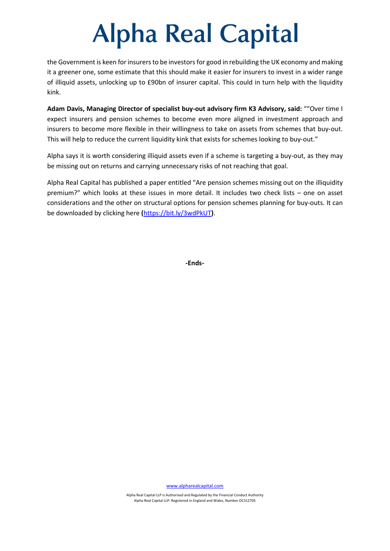### **Alpha Real Capital**

the Government is keen for insurers to be investors for good in rebuilding the UK economy and making it a greener one, some estimate that this should make it easier for insurers to invest in a wider range of illiquid assets, unlocking up to £90bn of insurer capital. This could in turn help with the liquidity kink.

Adam Davis, Managing Director of specialist buy-out advisory firm K3 Advisory, said: ""Over time I expect insurers and pension schemes to become even more aligned in investment approach and insurers to become more flexible in their willingness to take on assets from schemes that buy-out. This will help to reduce the current liquidity kink that exists for schemes looking to buy-out."

Alpha says it is worth considering illiquid assets even if a scheme is targeting a buy-out, as they may be missing out on returns and carrying unnecessary risks of not reaching that goal.

Alpha Real Capital has published a paper entitled "Are pension schemes missing out on the illiquidity premium?" which looks at these issues in more detail. It includes two check lists – one on asset considerations and the other on structural options for pension schemes planning for buy-outs. It can be downloaded by clicking here (https://bit.ly/3wdPkUT).

-Ends-

www.alpharealcapital.com

Alpha Real Capital LLP is Authorised and Regulated by the Financial Conduct Authority Alpha Real Capital LLP: Registered in England and Wales, Number OC312705